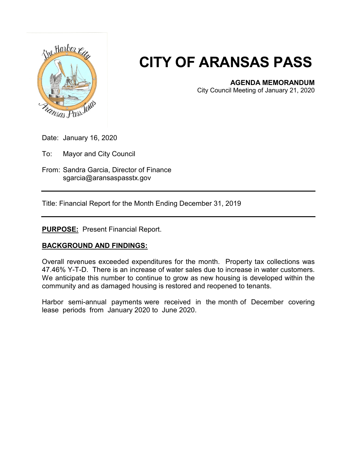

## **CITY OF ARANSAS PASS**

## **AGENDA MEMORANDUM**

City Council Meeting of January 21, 2020

Date: January 16, 2020

To: Mayor and City Council

From: Sandra Garcia, Director of Finance sgarcia@aransaspasstx.gov

Title: Financial Report for the Month Ending December 31, 2019

**PURPOSE:** Present Financial Report.

## **BACKGROUND AND FINDINGS:**

Overall revenues exceeded expenditures for the month. Property tax collections was 47.46% Y-T-D. There is an increase of water sales due to increase in water customers. We anticipate this number to continue to grow as new housing is developed within the community and as damaged housing is restored and reopened to tenants.

Harbor semi-annual payments were received in the month of December covering lease periods from January 2020 to June 2020.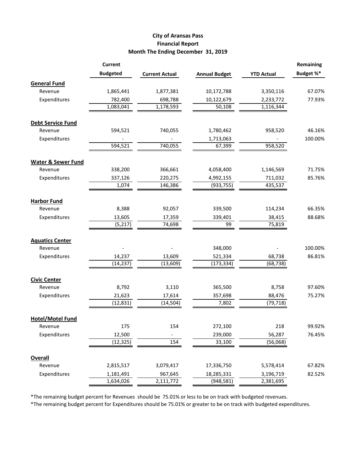## **City of Aransas Pass Financial Report Month The Ending December 31, 2019**

|                               | <b>Current</b>  |                       |                      |                   | <b>Remaining</b> |
|-------------------------------|-----------------|-----------------------|----------------------|-------------------|------------------|
|                               | <b>Budgeted</b> | <b>Current Actual</b> | <b>Annual Budget</b> | <b>YTD Actual</b> | Budget %*        |
| <b>General Fund</b>           |                 |                       |                      |                   |                  |
| Revenue                       | 1,865,441       | 1,877,381             | 10,172,788           | 3,350,116         | 67.07%           |
| Expenditures                  | 782,400         | 698,788               | 10,122,679           | 2,233,772         | 77.93%           |
|                               | 1,083,041       | 1,178,593             | 50,108               | 1,116,344         |                  |
| <b>Debt Service Fund</b>      |                 |                       |                      |                   |                  |
| Revenue                       | 594,521         | 740,055               | 1,780,462            | 958,520           | 46.16%           |
| Expenditures                  |                 |                       | 1,713,063            |                   | 100.00%          |
|                               | 594,521         | 740,055               | 67,399               | 958,520           |                  |
| <b>Water &amp; Sewer Fund</b> |                 |                       |                      |                   |                  |
| Revenue                       | 338,200         | 366,661               | 4,058,400            | 1,146,569         | 71.75%           |
| Expenditures                  | 337,126         | 220,275               | 4,992,155            | 711,032           | 85.76%           |
|                               | 1,074           | 146,386               | (933, 755)           | 435,537           |                  |
| <b>Harbor Fund</b>            |                 |                       |                      |                   |                  |
| Revenue                       | 8,388           | 92,057                | 339,500              | 114,234           | 66.35%           |
| Expenditures                  | 13,605          | 17,359                | 339,401              | 38,415            | 88.68%           |
|                               | (5, 217)        | 74,698                | 99                   | 75,819            |                  |
| <b>Aquatics Center</b>        |                 |                       |                      |                   |                  |
| Revenue                       |                 |                       | 348,000              |                   | 100.00%          |
| Expenditures                  | 14,237          | 13,609                | 521,334              | 68,738            | 86.81%           |
|                               | (14, 237)       | (13,609)              | (173, 334)           | (68, 738)         |                  |
| <b>Civic Center</b>           |                 |                       |                      |                   |                  |
| Revenue                       | 8,792           | 3,110                 | 365,500              | 8,758             | 97.60%           |
| Expenditures                  | 21,623          | 17,614                | 357,698              | 88,476            | 75.27%           |
|                               | (12, 831)       | (14, 504)             | 7,802                | (79, 718)         |                  |
| <b>Hotel/Motel Fund</b>       |                 |                       |                      |                   |                  |
| Revenue                       | 175             | 154                   | 272,100              | 218               | 99.92%           |
| Expenditures                  | 12,500          |                       | 239,000              | 56,287            | 76.45%           |
|                               | (12, 325)       | 154                   | 33,100               | (56,068)          |                  |
| <b>Overall</b>                |                 |                       |                      |                   |                  |
| Revenue                       | 2,815,517       | 3,079,417             | 17,336,750           | 5,578,414         | 67.82%           |
| Expenditures                  | 1,181,491       | 967,645               | 18,285,331           | 3,196,719         | 82.52%           |
|                               | 1,634,026       | 2,111,772             | (948, 581)           | 2,381,695         |                  |

\*The remaining budget percent for Revenues should be 75.01% or less to be on track with budgeted revenues.

\*The remaining budget percent for Expenditures should be 75.01% or greater to be on track with budgeted expenditures.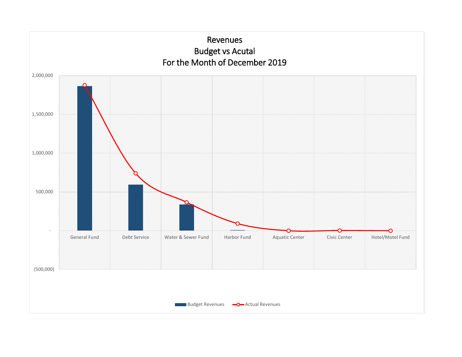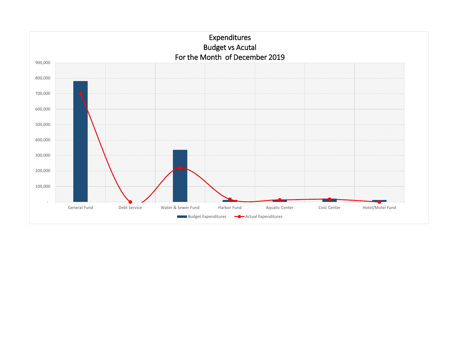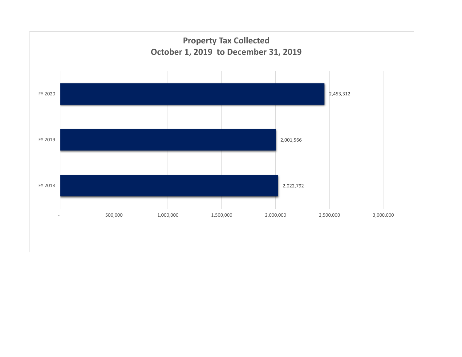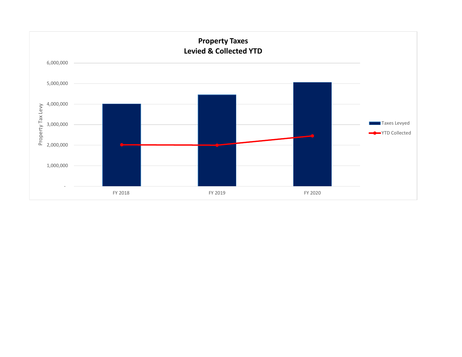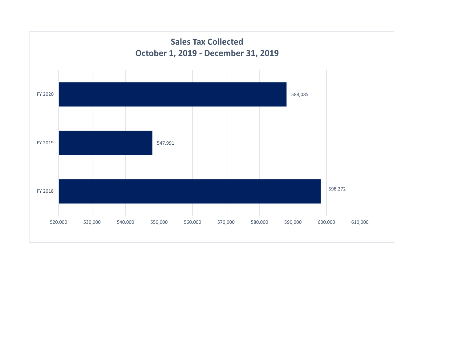